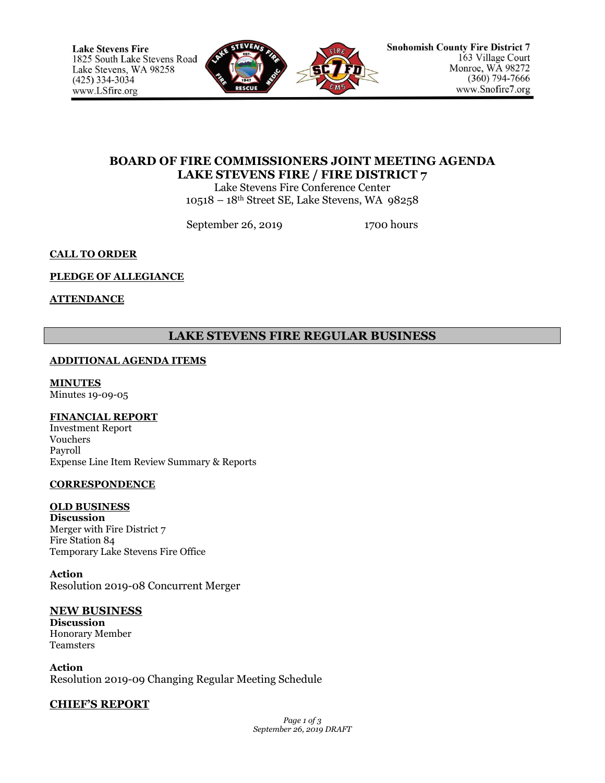

# **BOARD OF FIRE COMMISSIONERS JOINT MEETING AGENDA LAKE STEVENS FIRE / FIRE DISTRICT 7**

Lake Stevens Fire Conference Center 10518 – 18th Street SE, Lake Stevens, WA 98258

September 26, 2019 1700 hours

# **CALL TO ORDER**

# **PLEDGE OF ALLEGIANCE**

# **ATTENDANCE**

# **LAKE STEVENS FIRE REGULAR BUSINESS**

# **ADDITIONAL AGENDA ITEMS**

# **MINUTES**

Minutes 19-09-05

# **FINANCIAL REPORT**

Investment Report Vouchers Payroll Expense Line Item Review Summary & Reports

# **CORRESPONDENCE**

# **OLD BUSINESS**

**Discussion** Merger with Fire District 7 Fire Station 84 Temporary Lake Stevens Fire Office

**Action** Resolution 2019-08 Concurrent Merger

# **NEW BUSINESS Discussion**

Honorary Member Teamsters

**Action** Resolution 2019-09 Changing Regular Meeting Schedule

# **CHIEF'S REPORT**

*Page 1 of 3 September 26, 2019 DRAFT*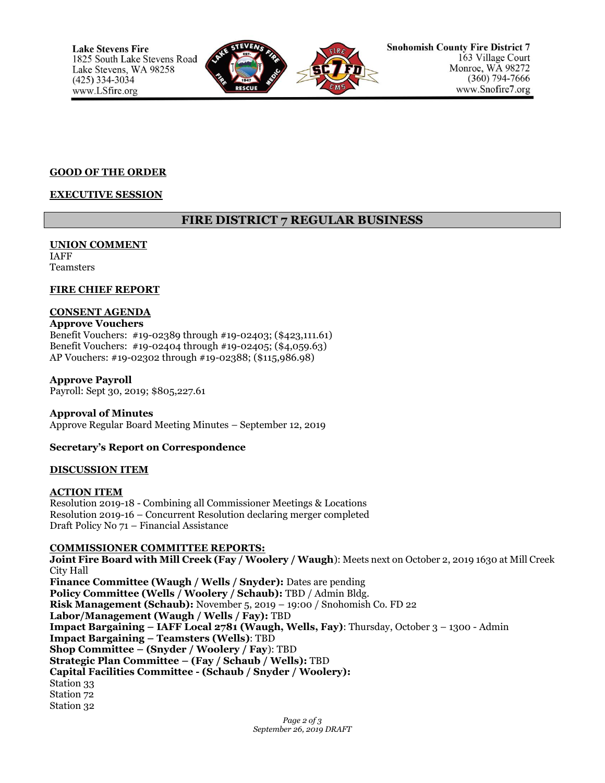

#### **GOOD OF THE ORDER**

# **EXECUTIVE SESSION**

# **FIRE DISTRICT 7 REGULAR BUSINESS**

#### **UNION COMMENT** IAFF

Teamsters

### **FIRE CHIEF REPORT**

# **CONSENT AGENDA**

**Approve Vouchers** Benefit Vouchers: #19-02389 through #19-02403; (\$423,111.61) Benefit Vouchers: #19-02404 through #19-02405; (\$4,059.63) AP Vouchers: #19-02302 through #19-02388; (\$115,986.98)

### **Approve Payroll**

Payroll: Sept 30, 2019; \$805,227.61

**Approval of Minutes**

Approve Regular Board Meeting Minutes – September 12, 2019

# **Secretary's Report on Correspondence**

#### **DISCUSSION ITEM**

# **ACTION ITEM**

Resolution 2019-18 - Combining all Commissioner Meetings & Locations Resolution 2019-16 – Concurrent Resolution declaring merger completed Draft Policy No 71 – Financial Assistance

#### **COMMISSIONER COMMITTEE REPORTS:**

**Joint Fire Board with Mill Creek (Fay / Woolery / Waugh**): Meets next on October 2, 2019 1630 at Mill Creek City Hall

**Finance Committee (Waugh / Wells / Snyder):** Dates are pending **Policy Committee (Wells / Woolery / Schaub):** TBD / Admin Bldg. **Risk Management (Schaub):** November 5, 2019 – 19:00 / Snohomish Co. FD 22 **Labor/Management (Waugh / Wells / Fay):** TBD **Impact Bargaining – IAFF Local 2781 (Waugh, Wells, Fay)**: Thursday, October 3 – 1300 - Admin **Impact Bargaining – Teamsters (Wells)**: TBD **Shop Committee – (Snyder / Woolery / Fay**): TBD **Strategic Plan Committee – (Fay / Schaub / Wells):** TBD **Capital Facilities Committee - (Schaub / Snyder / Woolery):** Station 33 Station 72 Station 32